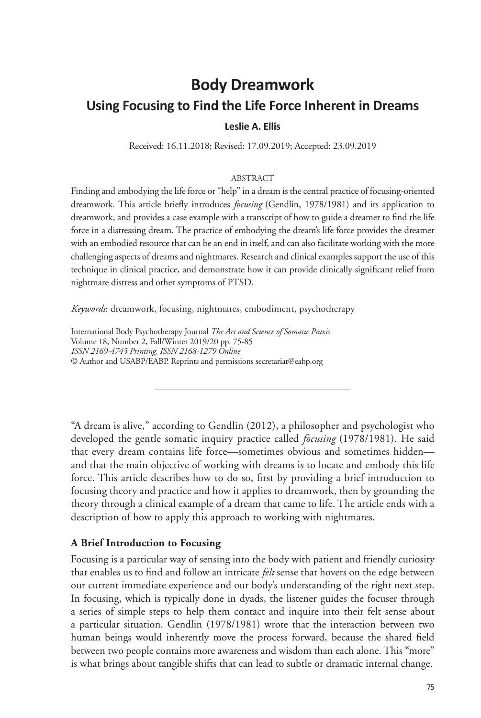# **Body Dreamwork Using Focusing to Find the Life Force Inherent in Dreams Leslie A. Ellis**

Received: 16.11.2018; Revised: 17.09.2019; Accepted: 23.09.2019

### ABSTRACT

Finding and embodying the life force or "help" in a dream is the central practice of focusing-oriented dreamwork. This article briefly introduces *focusing* (Gendlin, 1978/1981) and its application to dreamwork, and provides a case example with a transcript of how to guide a dreamer to find the life force in a distressing dream. The practice of embodying the dream's life force provides the dreamer with an embodied resource that can be an end in itself, and can also facilitate working with the more challenging aspects of dreams and nightmares. Research and clinical examples support the use of this technique in clinical practice, and demonstrate how it can provide clinically significant relief from nightmare distress and other symptoms of PTSD.

*Keywords*: dreamwork, focusing, nightmares, embodiment, psychotherapy

International Body Psychotherapy Journal *The Art and Science of Somatic Praxis* Volume 18, Number 2, Fall/Winter 2019/20 pp. 75-85 *ISSN 2169-4745 Printing, ISSN 2168-1279 Online* © Author and USABP/EABP. Reprints and permissions secretariat@eabp.org

"A dream is alive," according to Gendlin (2012), a philosopher and psychologist who developed the gentle somatic inquiry practice called *focusing* (1978/1981). He said that every dream contains life force—sometimes obvious and sometimes hidden and that the main objective of working with dreams is to locate and embody this life force. This article describes how to do so, first by providing a brief introduction to focusing theory and practice and how it applies to dreamwork, then by grounding the theory through a clinical example of a dream that came to life. The article ends with a description of how to apply this approach to working with nightmares.

### **A Brief Introduction to Focusing**

Focusing is a particular way of sensing into the body with patient and friendly curiosity that enables us to find and follow an intricate *felt* sense that hovers on the edge between our current immediate experience and our body's understanding of the right next step. In focusing, which is typically done in dyads, the listener guides the focuser through a series of simple steps to help them contact and inquire into their felt sense about a particular situation. Gendlin (1978/1981) wrote that the interaction between two human beings would inherently move the process forward, because the shared field between two people contains more awareness and wisdom than each alone. This "more" is what brings about tangible shifts that can lead to subtle or dramatic internal change.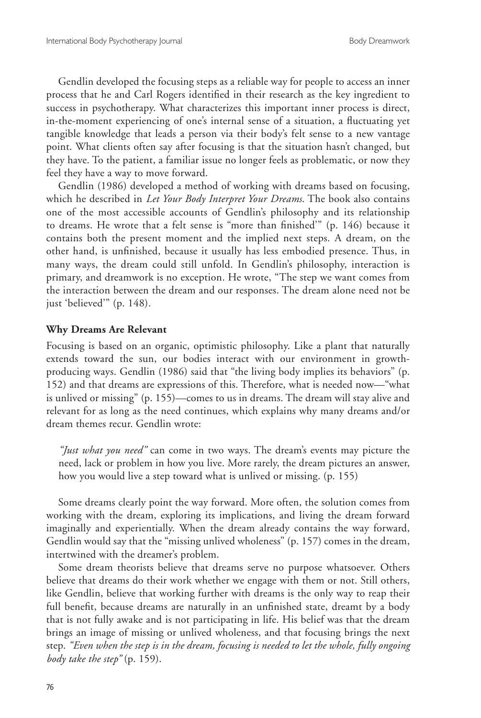Gendlin developed the focusing steps as a reliable way for people to access an inner process that he and Carl Rogers identified in their research as the key ingredient to success in psychotherapy. What characterizes this important inner process is direct, in-the-moment experiencing of one's internal sense of a situation, a fluctuating yet tangible knowledge that leads a person via their body's felt sense to a new vantage point. What clients often say after focusing is that the situation hasn't changed, but they have. To the patient, a familiar issue no longer feels as problematic, or now they feel they have a way to move forward.

Gendlin (1986) developed a method of working with dreams based on focusing, which he described in *Let Your Body Interpret Your Dreams*. The book also contains one of the most accessible accounts of Gendlin's philosophy and its relationship to dreams. He wrote that a felt sense is "more than finished'" (p. 146) because it contains both the present moment and the implied next steps. A dream, on the other hand, is unfinished, because it usually has less embodied presence. Thus, in many ways, the dream could still unfold. In Gendlin's philosophy, interaction is primary, and dreamwork is no exception. He wrote, "The step we want comes from the interaction between the dream and our responses. The dream alone need not be just 'believed'" (p. 148).

### **Why Dreams Are Relevant**

Focusing is based on an organic, optimistic philosophy. Like a plant that naturally extends toward the sun, our bodies interact with our environment in growthproducing ways. Gendlin (1986) said that "the living body implies its behaviors" (p. 152) and that dreams are expressions of this. Therefore, what is needed now—"what is unlived or missing" (p. 155)—comes to us in dreams. The dream will stay alive and relevant for as long as the need continues, which explains why many dreams and/or dream themes recur. Gendlin wrote:

*"Just what you need"* can come in two ways. The dream's events may picture the need, lack or problem in how you live. More rarely, the dream pictures an answer, how you would live a step toward what is unlived or missing. (p. 155)

Some dreams clearly point the way forward. More often, the solution comes from working with the dream, exploring its implications, and living the dream forward imaginally and experientially. When the dream already contains the way forward, Gendlin would say that the "missing unlived wholeness" (p. 157) comes in the dream, intertwined with the dreamer's problem.

Some dream theorists believe that dreams serve no purpose whatsoever. Others believe that dreams do their work whether we engage with them or not. Still others, like Gendlin, believe that working further with dreams is the only way to reap their full benefit, because dreams are naturally in an unfinished state, dreamt by a body that is not fully awake and is not participating in life. His belief was that the dream brings an image of missing or unlived wholeness, and that focusing brings the next step. *"Even when the step is in the dream, focusing is needed to let the whole, fully ongoing body take the step"* (p. 159).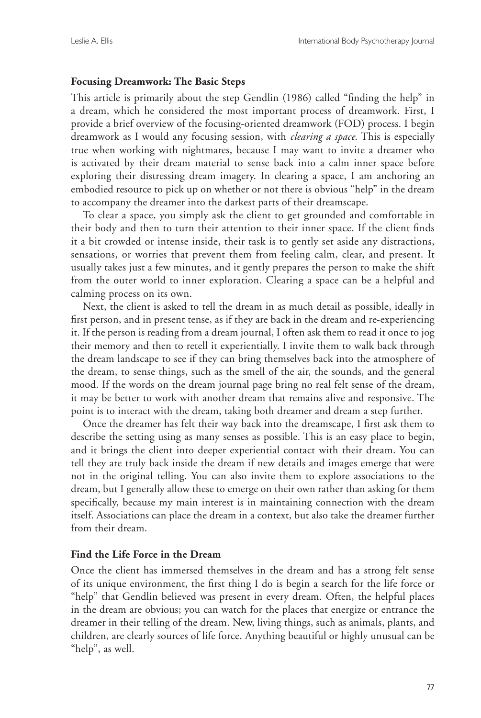### **Focusing Dreamwork: The Basic Steps**

This article is primarily about the step Gendlin (1986) called "finding the help" in a dream, which he considered the most important process of dreamwork. First, I provide a brief overview of the focusing-oriented dreamwork (FOD) process. I begin dreamwork as I would any focusing session, with *clearing a space*. This is especially true when working with nightmares, because I may want to invite a dreamer who is activated by their dream material to sense back into a calm inner space before exploring their distressing dream imagery. In clearing a space, I am anchoring an embodied resource to pick up on whether or not there is obvious "help" in the dream to accompany the dreamer into the darkest parts of their dreamscape.

To clear a space, you simply ask the client to get grounded and comfortable in their body and then to turn their attention to their inner space. If the client finds it a bit crowded or intense inside, their task is to gently set aside any distractions, sensations, or worries that prevent them from feeling calm, clear, and present. It usually takes just a few minutes, and it gently prepares the person to make the shift from the outer world to inner exploration. Clearing a space can be a helpful and calming process on its own.

Next, the client is asked to tell the dream in as much detail as possible, ideally in first person, and in present tense, as if they are back in the dream and re-experiencing it. If the person is reading from a dream journal, I often ask them to read it once to jog their memory and then to retell it experientially. I invite them to walk back through the dream landscape to see if they can bring themselves back into the atmosphere of the dream, to sense things, such as the smell of the air, the sounds, and the general mood. If the words on the dream journal page bring no real felt sense of the dream, it may be better to work with another dream that remains alive and responsive. The point is to interact with the dream, taking both dreamer and dream a step further.

Once the dreamer has felt their way back into the dreamscape, I first ask them to describe the setting using as many senses as possible. This is an easy place to begin, and it brings the client into deeper experiential contact with their dream. You can tell they are truly back inside the dream if new details and images emerge that were not in the original telling. You can also invite them to explore associations to the dream, but I generally allow these to emerge on their own rather than asking for them specifically, because my main interest is in maintaining connection with the dream itself. Associations can place the dream in a context, but also take the dreamer further from their dream.

# **Find the Life Force in the Dream**

Once the client has immersed themselves in the dream and has a strong felt sense of its unique environment, the first thing I do is begin a search for the life force or "help" that Gendlin believed was present in every dream. Often, the helpful places in the dream are obvious; you can watch for the places that energize or entrance the dreamer in their telling of the dream. New, living things, such as animals, plants, and children, are clearly sources of life force. Anything beautiful or highly unusual can be "help", as well.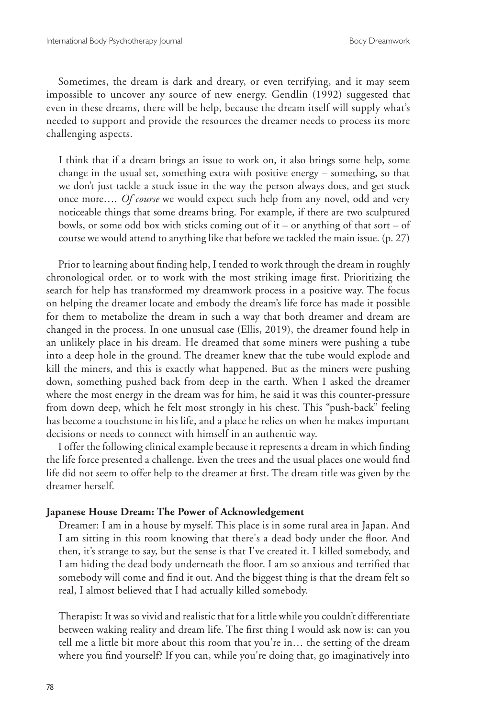Sometimes, the dream is dark and dreary, or even terrifying, and it may seem impossible to uncover any source of new energy. Gendlin (1992) suggested that even in these dreams, there will be help, because the dream itself will supply what's needed to support and provide the resources the dreamer needs to process its more challenging aspects.

I think that if a dream brings an issue to work on, it also brings some help, some change in the usual set, something extra with positive energy – something, so that we don't just tackle a stuck issue in the way the person always does, and get stuck once more…. *Of course* we would expect such help from any novel, odd and very noticeable things that some dreams bring. For example, if there are two sculptured bowls, or some odd box with sticks coming out of it – or anything of that sort – of course we would attend to anything like that before we tackled the main issue. (p. 27)

Prior to learning about finding help, I tended to work through the dream in roughly chronological order. or to work with the most striking image first. Prioritizing the search for help has transformed my dreamwork process in a positive way. The focus on helping the dreamer locate and embody the dream's life force has made it possible for them to metabolize the dream in such a way that both dreamer and dream are changed in the process. In one unusual case (Ellis, 2019), the dreamer found help in an unlikely place in his dream. He dreamed that some miners were pushing a tube into a deep hole in the ground. The dreamer knew that the tube would explode and kill the miners, and this is exactly what happened. But as the miners were pushing down, something pushed back from deep in the earth. When I asked the dreamer where the most energy in the dream was for him, he said it was this counter-pressure from down deep, which he felt most strongly in his chest. This "push-back" feeling has become a touchstone in his life, and a place he relies on when he makes important decisions or needs to connect with himself in an authentic way.

I offer the following clinical example because it represents a dream in which finding the life force presented a challenge. Even the trees and the usual places one would find life did not seem to offer help to the dreamer at first. The dream title was given by the dreamer herself.

#### **Japanese House Dream: The Power of Acknowledgement**

Dreamer: I am in a house by myself. This place is in some rural area in Japan. And I am sitting in this room knowing that there's a dead body under the floor. And then, it's strange to say, but the sense is that I've created it. I killed somebody, and I am hiding the dead body underneath the floor. I am so anxious and terrified that somebody will come and find it out. And the biggest thing is that the dream felt so real, I almost believed that I had actually killed somebody.

Therapist: It was so vivid and realistic that for a little while you couldn't differentiate between waking reality and dream life. The first thing I would ask now is: can you tell me a little bit more about this room that you're in… the setting of the dream where you find yourself? If you can, while you're doing that, go imaginatively into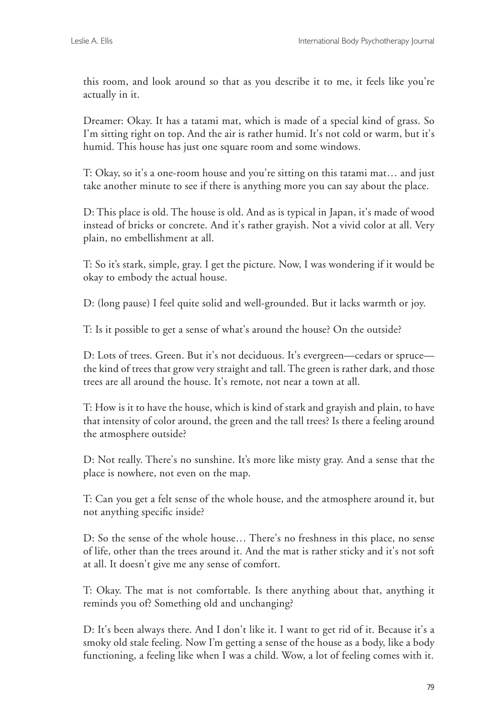this room, and look around so that as you describe it to me, it feels like you're actually in it.

Dreamer: Okay. It has a tatami mat, which is made of a special kind of grass. So I'm sitting right on top. And the air is rather humid. It's not cold or warm, but it's humid. This house has just one square room and some windows.

T: Okay, so it's a one-room house and you're sitting on this tatami mat… and just take another minute to see if there is anything more you can say about the place.

D: This place is old. The house is old. And as is typical in Japan, it's made of wood instead of bricks or concrete. And it's rather grayish. Not a vivid color at all. Very plain, no embellishment at all.

T: So it's stark, simple, gray. I get the picture. Now, I was wondering if it would be okay to embody the actual house.

D: (long pause) I feel quite solid and well-grounded. But it lacks warmth or joy.

T: Is it possible to get a sense of what's around the house? On the outside?

D: Lots of trees. Green. But it's not deciduous. It's evergreen—cedars or spruce the kind of trees that grow very straight and tall. The green is rather dark, and those trees are all around the house. It's remote, not near a town at all.

T: How is it to have the house, which is kind of stark and grayish and plain, to have that intensity of color around, the green and the tall trees? Is there a feeling around the atmosphere outside?

D: Not really. There's no sunshine. It's more like misty gray. And a sense that the place is nowhere, not even on the map.

T: Can you get a felt sense of the whole house, and the atmosphere around it, but not anything specific inside?

D: So the sense of the whole house… There's no freshness in this place, no sense of life, other than the trees around it. And the mat is rather sticky and it's not soft at all. It doesn't give me any sense of comfort.

T: Okay. The mat is not comfortable. Is there anything about that, anything it reminds you of? Something old and unchanging?

D: It's been always there. And I don't like it. I want to get rid of it. Because it's a smoky old stale feeling. Now I'm getting a sense of the house as a body, like a body functioning, a feeling like when I was a child. Wow, a lot of feeling comes with it.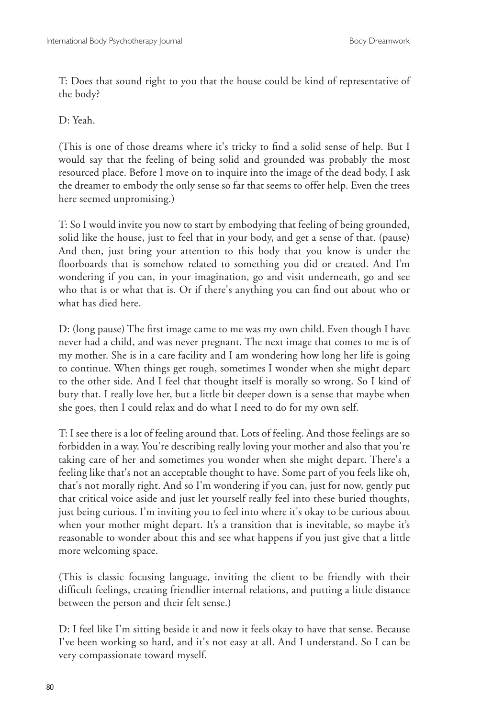T: Does that sound right to you that the house could be kind of representative of the body?

D: Yeah.

(This is one of those dreams where it's tricky to find a solid sense of help. But I would say that the feeling of being solid and grounded was probably the most resourced place. Before I move on to inquire into the image of the dead body, I ask the dreamer to embody the only sense so far that seems to offer help. Even the trees here seemed unpromising.)

T: So I would invite you now to start by embodying that feeling of being grounded, solid like the house, just to feel that in your body, and get a sense of that. (pause) And then, just bring your attention to this body that you know is under the floorboards that is somehow related to something you did or created. And I'm wondering if you can, in your imagination, go and visit underneath, go and see who that is or what that is. Or if there's anything you can find out about who or what has died here.

D: (long pause) The first image came to me was my own child. Even though I have never had a child, and was never pregnant. The next image that comes to me is of my mother. She is in a care facility and I am wondering how long her life is going to continue. When things get rough, sometimes I wonder when she might depart to the other side. And I feel that thought itself is morally so wrong. So I kind of bury that. I really love her, but a little bit deeper down is a sense that maybe when she goes, then I could relax and do what I need to do for my own self.

T: I see there is a lot of feeling around that. Lots of feeling. And those feelings are so forbidden in a way. You're describing really loving your mother and also that you're taking care of her and sometimes you wonder when she might depart. There's a feeling like that's not an acceptable thought to have. Some part of you feels like oh, that's not morally right. And so I'm wondering if you can, just for now, gently put that critical voice aside and just let yourself really feel into these buried thoughts, just being curious. I'm inviting you to feel into where it's okay to be curious about when your mother might depart. It's a transition that is inevitable, so maybe it's reasonable to wonder about this and see what happens if you just give that a little more welcoming space.

(This is classic focusing language, inviting the client to be friendly with their difficult feelings, creating friendlier internal relations, and putting a little distance between the person and their felt sense.)

D: I feel like I'm sitting beside it and now it feels okay to have that sense. Because I've been working so hard, and it's not easy at all. And I understand. So I can be very compassionate toward myself.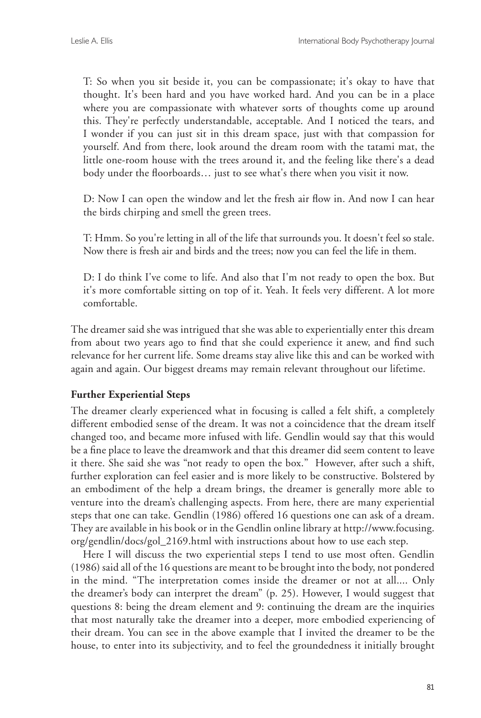T: So when you sit beside it, you can be compassionate; it's okay to have that thought. It's been hard and you have worked hard. And you can be in a place where you are compassionate with whatever sorts of thoughts come up around this. They're perfectly understandable, acceptable. And I noticed the tears, and I wonder if you can just sit in this dream space, just with that compassion for yourself. And from there, look around the dream room with the tatami mat, the little one-room house with the trees around it, and the feeling like there's a dead body under the floorboards… just to see what's there when you visit it now.

D: Now I can open the window and let the fresh air flow in. And now I can hear the birds chirping and smell the green trees.

T: Hmm. So you're letting in all of the life that surrounds you. It doesn't feel so stale. Now there is fresh air and birds and the trees; now you can feel the life in them.

D: I do think I've come to life. And also that I'm not ready to open the box. But it's more comfortable sitting on top of it. Yeah. It feels very different. A lot more comfortable.

The dreamer said she was intrigued that she was able to experientially enter this dream from about two years ago to find that she could experience it anew, and find such relevance for her current life. Some dreams stay alive like this and can be worked with again and again. Our biggest dreams may remain relevant throughout our lifetime.

# **Further Experiential Steps**

The dreamer clearly experienced what in focusing is called a felt shift, a completely different embodied sense of the dream. It was not a coincidence that the dream itself changed too, and became more infused with life. Gendlin would say that this would be a fine place to leave the dreamwork and that this dreamer did seem content to leave it there. She said she was "not ready to open the box." However, after such a shift, further exploration can feel easier and is more likely to be constructive. Bolstered by an embodiment of the help a dream brings, the dreamer is generally more able to venture into the dream's challenging aspects. From here, there are many experiential steps that one can take. Gendlin (1986) offered 16 questions one can ask of a dream. They are available in his book or in the Gendlin online library at http://www.focusing. org/gendlin/docs/gol\_2169.html with instructions about how to use each step.

Here I will discuss the two experiential steps I tend to use most often. Gendlin (1986) said all of the 16 questions are meant to be brought into the body, not pondered in the mind. "The interpretation comes inside the dreamer or not at all.... Only the dreamer's body can interpret the dream" (p. 25). However, I would suggest that questions 8: being the dream element and 9: continuing the dream are the inquiries that most naturally take the dreamer into a deeper, more embodied experiencing of their dream. You can see in the above example that I invited the dreamer to be the house, to enter into its subjectivity, and to feel the groundedness it initially brought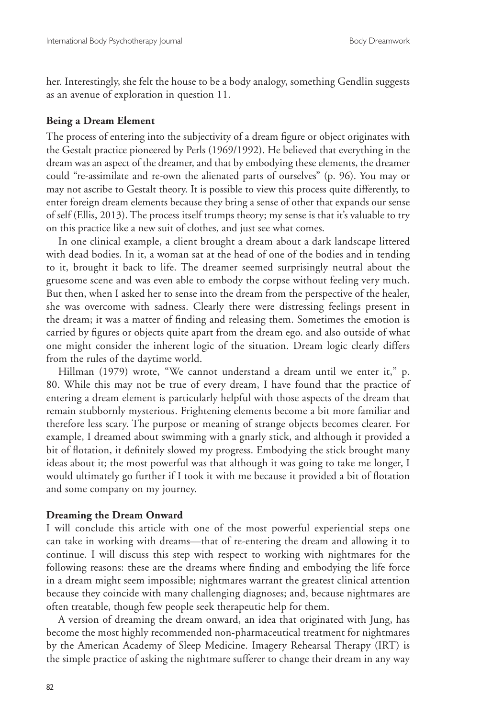her. Interestingly, she felt the house to be a body analogy, something Gendlin suggests as an avenue of exploration in question 11.

#### **Being a Dream Element**

The process of entering into the subjectivity of a dream figure or object originates with the Gestalt practice pioneered by Perls (1969/1992). He believed that everything in the dream was an aspect of the dreamer, and that by embodying these elements, the dreamer could "re-assimilate and re-own the alienated parts of ourselves" (p. 96). You may or may not ascribe to Gestalt theory. It is possible to view this process quite differently, to enter foreign dream elements because they bring a sense of other that expands our sense of self (Ellis, 2013). The process itself trumps theory; my sense is that it's valuable to try on this practice like a new suit of clothes, and just see what comes.

In one clinical example, a client brought a dream about a dark landscape littered with dead bodies. In it, a woman sat at the head of one of the bodies and in tending to it, brought it back to life. The dreamer seemed surprisingly neutral about the gruesome scene and was even able to embody the corpse without feeling very much. But then, when I asked her to sense into the dream from the perspective of the healer, she was overcome with sadness. Clearly there were distressing feelings present in the dream; it was a matter of finding and releasing them. Sometimes the emotion is carried by figures or objects quite apart from the dream ego. and also outside of what one might consider the inherent logic of the situation. Dream logic clearly differs from the rules of the daytime world.

Hillman (1979) wrote, "We cannot understand a dream until we enter it," p. 80. While this may not be true of every dream, I have found that the practice of entering a dream element is particularly helpful with those aspects of the dream that remain stubbornly mysterious. Frightening elements become a bit more familiar and therefore less scary. The purpose or meaning of strange objects becomes clearer. For example, I dreamed about swimming with a gnarly stick, and although it provided a bit of flotation, it definitely slowed my progress. Embodying the stick brought many ideas about it; the most powerful was that although it was going to take me longer, I would ultimately go further if I took it with me because it provided a bit of flotation and some company on my journey.

#### **Dreaming the Dream Onward**

I will conclude this article with one of the most powerful experiential steps one can take in working with dreams—that of re-entering the dream and allowing it to continue. I will discuss this step with respect to working with nightmares for the following reasons: these are the dreams where finding and embodying the life force in a dream might seem impossible; nightmares warrant the greatest clinical attention because they coincide with many challenging diagnoses; and, because nightmares are often treatable, though few people seek therapeutic help for them.

A version of dreaming the dream onward, an idea that originated with Jung, has become the most highly recommended non-pharmaceutical treatment for nightmares by the American Academy of Sleep Medicine. Imagery Rehearsal Therapy (IRT) is the simple practice of asking the nightmare sufferer to change their dream in any way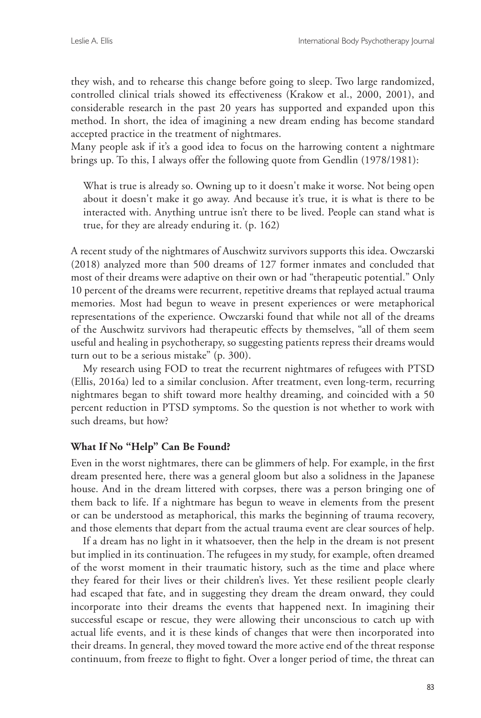they wish, and to rehearse this change before going to sleep. Two large randomized, controlled clinical trials showed its effectiveness (Krakow et al., 2000, 2001), and considerable research in the past 20 years has supported and expanded upon this method. In short, the idea of imagining a new dream ending has become standard accepted practice in the treatment of nightmares.

Many people ask if it's a good idea to focus on the harrowing content a nightmare brings up. To this, I always offer the following quote from Gendlin (1978/1981):

What is true is already so. Owning up to it doesn't make it worse. Not being open about it doesn't make it go away. And because it's true, it is what is there to be interacted with. Anything untrue isn't there to be lived. People can stand what is true, for they are already enduring it. (p. 162)

A recent study of the nightmares of Auschwitz survivors supports this idea. Owczarski (2018) analyzed more than 500 dreams of 127 former inmates and concluded that most of their dreams were adaptive on their own or had "therapeutic potential." Only 10 percent of the dreams were recurrent, repetitive dreams that replayed actual trauma memories. Most had begun to weave in present experiences or were metaphorical representations of the experience. Owczarski found that while not all of the dreams of the Auschwitz survivors had therapeutic effects by themselves, "all of them seem useful and healing in psychotherapy, so suggesting patients repress their dreams would turn out to be a serious mistake" (p. 300).

My research using FOD to treat the recurrent nightmares of refugees with PTSD (Ellis, 2016a) led to a similar conclusion. After treatment, even long-term, recurring nightmares began to shift toward more healthy dreaming, and coincided with a 50 percent reduction in PTSD symptoms. So the question is not whether to work with such dreams, but how?

# **What If No "Help" Can Be Found?**

Even in the worst nightmares, there can be glimmers of help. For example, in the first dream presented here, there was a general gloom but also a solidness in the Japanese house. And in the dream littered with corpses, there was a person bringing one of them back to life. If a nightmare has begun to weave in elements from the present or can be understood as metaphorical, this marks the beginning of trauma recovery, and those elements that depart from the actual trauma event are clear sources of help.

If a dream has no light in it whatsoever, then the help in the dream is not present but implied in its continuation. The refugees in my study, for example, often dreamed of the worst moment in their traumatic history, such as the time and place where they feared for their lives or their children's lives. Yet these resilient people clearly had escaped that fate, and in suggesting they dream the dream onward, they could incorporate into their dreams the events that happened next. In imagining their successful escape or rescue, they were allowing their unconscious to catch up with actual life events, and it is these kinds of changes that were then incorporated into their dreams. In general, they moved toward the more active end of the threat response continuum, from freeze to flight to fight. Over a longer period of time, the threat can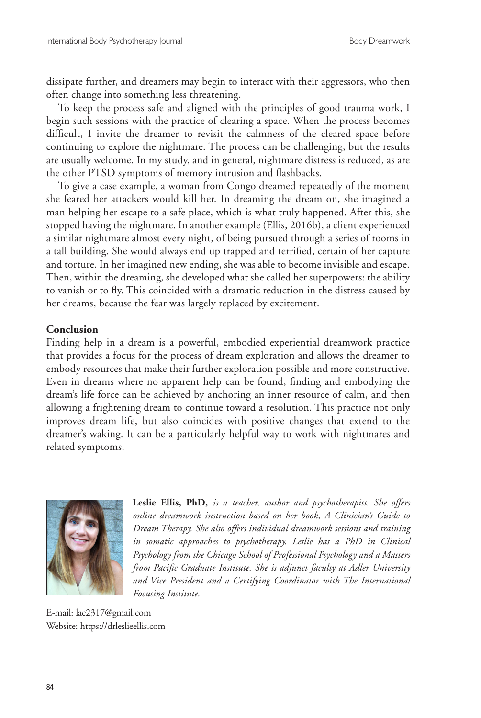dissipate further, and dreamers may begin to interact with their aggressors, who then often change into something less threatening.

To keep the process safe and aligned with the principles of good trauma work, I begin such sessions with the practice of clearing a space. When the process becomes difficult, I invite the dreamer to revisit the calmness of the cleared space before continuing to explore the nightmare. The process can be challenging, but the results are usually welcome. In my study, and in general, nightmare distress is reduced, as are the other PTSD symptoms of memory intrusion and flashbacks.

To give a case example, a woman from Congo dreamed repeatedly of the moment she feared her attackers would kill her. In dreaming the dream on, she imagined a man helping her escape to a safe place, which is what truly happened. After this, she stopped having the nightmare. In another example (Ellis, 2016b), a client experienced a similar nightmare almost every night, of being pursued through a series of rooms in a tall building. She would always end up trapped and terrified, certain of her capture and torture. In her imagined new ending, she was able to become invisible and escape. Then, within the dreaming, she developed what she called her superpowers: the ability to vanish or to fly. This coincided with a dramatic reduction in the distress caused by her dreams, because the fear was largely replaced by excitement.

### **Conclusion**

Finding help in a dream is a powerful, embodied experiential dreamwork practice that provides a focus for the process of dream exploration and allows the dreamer to embody resources that make their further exploration possible and more constructive. Even in dreams where no apparent help can be found, finding and embodying the dream's life force can be achieved by anchoring an inner resource of calm, and then allowing a frightening dream to continue toward a resolution. This practice not only improves dream life, but also coincides with positive changes that extend to the dreamer's waking. It can be a particularly helpful way to work with nightmares and related symptoms.



**Leslie Ellis, PhD,** *is a teacher, author and psychotherapist. She offers online dreamwork instruction based on her book, A Clinician's Guide to Dream Therapy. She also offers individual dreamwork sessions and training in somatic approaches to psychotherapy. Leslie has a PhD in Clinical Psychology from the Chicago School of Professional Psychology and a Masters from Pacific Graduate Institute. She is adjunct faculty at Adler University and Vice President and a Certifying Coordinator with The International Focusing Institute.* 

E-mail: lae2317@gmail.com Website: https://drleslieellis.com